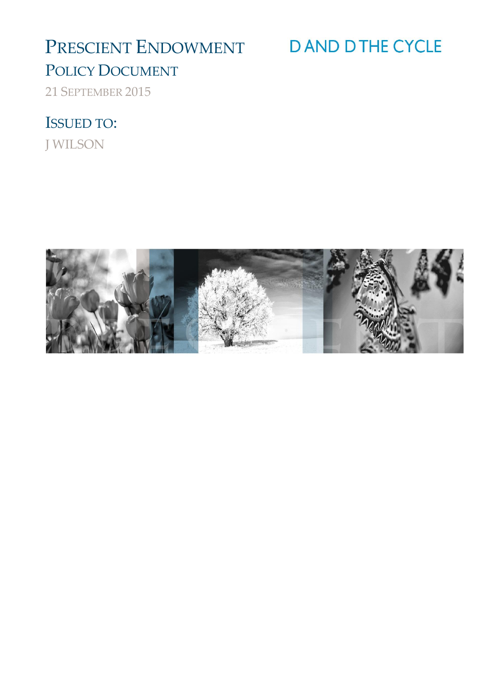# PRESCIENT ENDOWMENT

# **DAND DTHE CYCLE**

## POLICY DOCUMENT

21 SEPTEMBER 2015

## ISSUED TO:

J WILSON

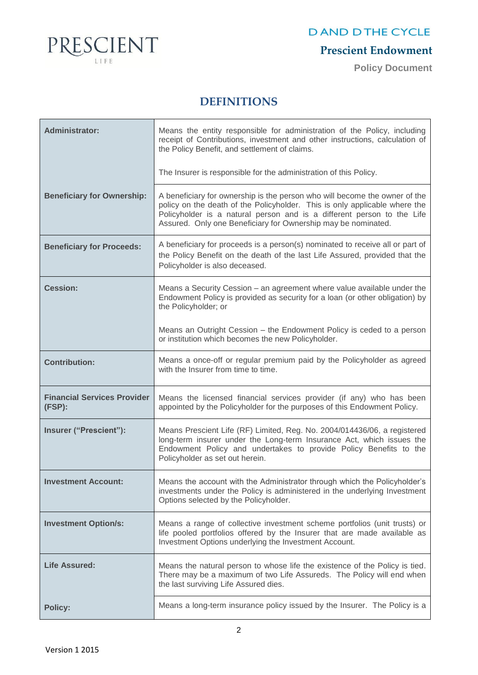

## **Prescient Endowment**

**Policy Document**

### **DEFINITIONS**

| <b>Administrator:</b>                        | Means the entity responsible for administration of the Policy, including<br>receipt of Contributions, investment and other instructions, calculation of<br>the Policy Benefit, and settlement of claims.                                                                                            |
|----------------------------------------------|-----------------------------------------------------------------------------------------------------------------------------------------------------------------------------------------------------------------------------------------------------------------------------------------------------|
|                                              | The Insurer is responsible for the administration of this Policy.                                                                                                                                                                                                                                   |
| <b>Beneficiary for Ownership:</b>            | A beneficiary for ownership is the person who will become the owner of the<br>policy on the death of the Policyholder. This is only applicable where the<br>Policyholder is a natural person and is a different person to the Life<br>Assured. Only one Beneficiary for Ownership may be nominated. |
| <b>Beneficiary for Proceeds:</b>             | A beneficiary for proceeds is a person(s) nominated to receive all or part of<br>the Policy Benefit on the death of the last Life Assured, provided that the<br>Policyholder is also deceased.                                                                                                      |
| <b>Cession:</b>                              | Means a Security Cession – an agreement where value available under the<br>Endowment Policy is provided as security for a loan (or other obligation) by<br>the Policyholder; or                                                                                                                     |
|                                              | Means an Outright Cession - the Endowment Policy is ceded to a person<br>or institution which becomes the new Policyholder.                                                                                                                                                                         |
| <b>Contribution:</b>                         | Means a once-off or regular premium paid by the Policyholder as agreed<br>with the Insurer from time to time.                                                                                                                                                                                       |
| <b>Financial Services Provider</b><br>(FSP): | Means the licensed financial services provider (if any) who has been<br>appointed by the Policyholder for the purposes of this Endowment Policy.                                                                                                                                                    |
| Insurer ("Prescient"):                       | Means Prescient Life (RF) Limited, Reg. No. 2004/014436/06, a registered<br>long-term insurer under the Long-term Insurance Act, which issues the<br>Endowment Policy and undertakes to provide Policy Benefits to the<br>Policyholder as set out herein.                                           |
| Investment Account:                          | Means the account with the Administrator through which the Policyholder's<br>investments under the Policy is administered in the underlying Investment<br>Options selected by the Policyholder.                                                                                                     |
| <b>Investment Option/s:</b>                  | Means a range of collective investment scheme portfolios (unit trusts) or<br>life pooled portfolios offered by the Insurer that are made available as<br>Investment Options underlying the Investment Account.                                                                                      |
| <b>Life Assured:</b>                         | Means the natural person to whose life the existence of the Policy is tied.<br>There may be a maximum of two Life Assureds. The Policy will end when<br>the last surviving Life Assured dies.                                                                                                       |
| <b>Policy:</b>                               | Means a long-term insurance policy issued by the Insurer. The Policy is a                                                                                                                                                                                                                           |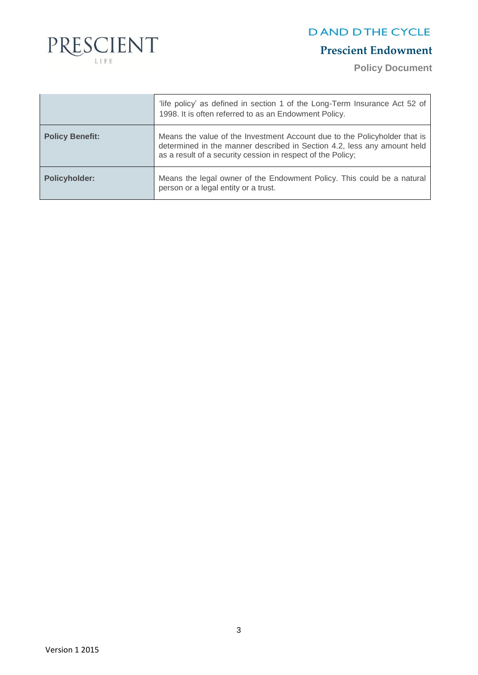

## **Prescient Endowment**

**Policy Document**

|                        | 'life policy' as defined in section 1 of the Long-Term Insurance Act 52 of<br>1998. It is often referred to as an Endowment Policy.                                                                                 |
|------------------------|---------------------------------------------------------------------------------------------------------------------------------------------------------------------------------------------------------------------|
| <b>Policy Benefit:</b> | Means the value of the Investment Account due to the Policyholder that is<br>determined in the manner described in Section 4.2, less any amount held<br>as a result of a security cession in respect of the Policy; |
| <b>Policyholder:</b>   | Means the legal owner of the Endowment Policy. This could be a natural<br>person or a legal entity or a trust.                                                                                                      |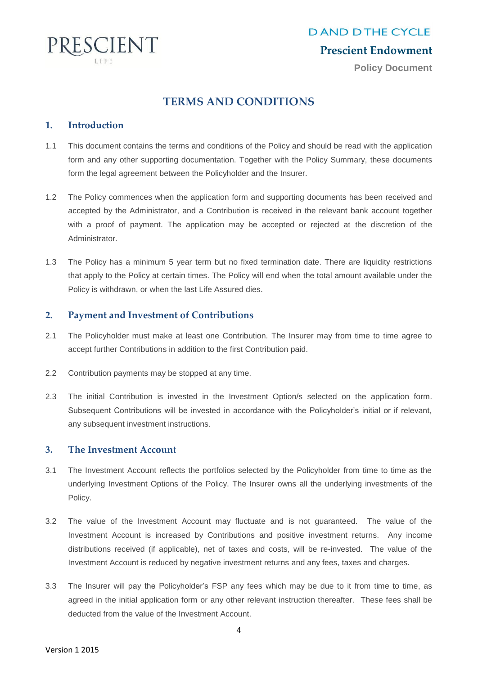

#### **Prescient Endowment**

**Policy Document**

### **TERMS AND CONDITIONS**

#### **1. Introduction**

- 1.1 This document contains the terms and conditions of the Policy and should be read with the application form and any other supporting documentation. Together with the Policy Summary, these documents form the legal agreement between the Policyholder and the Insurer.
- 1.2 The Policy commences when the application form and supporting documents has been received and accepted by the Administrator, and a Contribution is received in the relevant bank account together with a proof of payment. The application may be accepted or rejected at the discretion of the Administrator.
- 1.3 The Policy has a minimum 5 year term but no fixed termination date. There are liquidity restrictions that apply to the Policy at certain times. The Policy will end when the total amount available under the Policy is withdrawn, or when the last Life Assured dies.

#### **2. Payment and Investment of Contributions**

- 2.1 The Policyholder must make at least one Contribution. The Insurer may from time to time agree to accept further Contributions in addition to the first Contribution paid.
- 2.2 Contribution payments may be stopped at any time.
- 2.3 The initial Contribution is invested in the Investment Option/s selected on the application form. Subsequent Contributions will be invested in accordance with the Policyholder's initial or if relevant, any subsequent investment instructions.

#### **3. The Investment Account**

- 3.1 The Investment Account reflects the portfolios selected by the Policyholder from time to time as the underlying Investment Options of the Policy. The Insurer owns all the underlying investments of the Policy.
- 3.2 The value of the Investment Account may fluctuate and is not guaranteed. The value of the Investment Account is increased by Contributions and positive investment returns. Any income distributions received (if applicable), net of taxes and costs, will be re-invested. The value of the Investment Account is reduced by negative investment returns and any fees, taxes and charges.
- 3.3 The Insurer will pay the Policyholder's FSP any fees which may be due to it from time to time, as agreed in the initial application form or any other relevant instruction thereafter. These fees shall be deducted from the value of the Investment Account.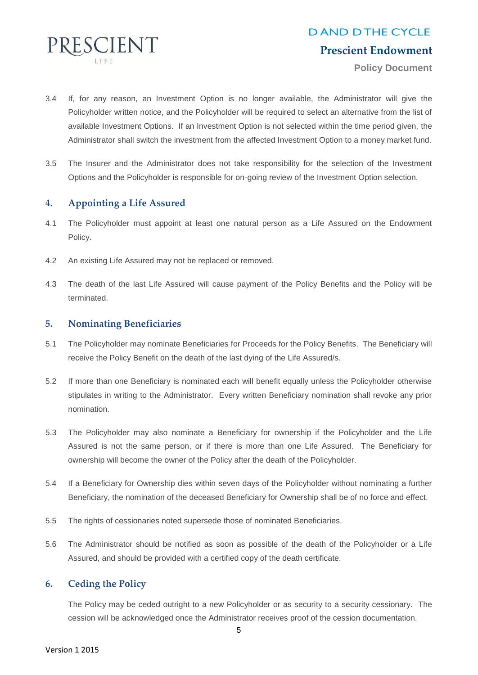

**Policy Document**

- 3.4 If, for any reason, an Investment Option is no longer available, the Administrator will give the Policyholder written notice, and the Policyholder will be required to select an alternative from the list of available Investment Options. If an Investment Option is not selected within the time period given, the Administrator shall switch the investment from the affected Investment Option to a money market fund.
- 3.5 The Insurer and the Administrator does not take responsibility for the selection of the Investment Options and the Policyholder is responsible for on-going review of the Investment Option selection.

#### **4. Appointing a Life Assured**

- 4.1 The Policyholder must appoint at least one natural person as a Life Assured on the Endowment Policy.
- 4.2 An existing Life Assured may not be replaced or removed.
- 4.3 The death of the last Life Assured will cause payment of the Policy Benefits and the Policy will be terminated.

#### **5. Nominating Beneficiaries**

- 5.1 The Policyholder may nominate Beneficiaries for Proceeds for the Policy Benefits. The Beneficiary will receive the Policy Benefit on the death of the last dying of the Life Assured/s.
- 5.2 If more than one Beneficiary is nominated each will benefit equally unless the Policyholder otherwise stipulates in writing to the Administrator. Every written Beneficiary nomination shall revoke any prior nomination.
- 5.3 The Policyholder may also nominate a Beneficiary for ownership if the Policyholder and the Life Assured is not the same person, or if there is more than one Life Assured. The Beneficiary for ownership will become the owner of the Policy after the death of the Policyholder.
- 5.4 If a Beneficiary for Ownership dies within seven days of the Policyholder without nominating a further Beneficiary, the nomination of the deceased Beneficiary for Ownership shall be of no force and effect.
- 5.5 The rights of cessionaries noted supersede those of nominated Beneficiaries.
- 5.6 The Administrator should be notified as soon as possible of the death of the Policyholder or a Life Assured, and should be provided with a certified copy of the death certificate.

#### **6. Ceding the Policy**

The Policy may be ceded outright to a new Policyholder or as security to a security cessionary. The cession will be acknowledged once the Administrator receives proof of the cession documentation.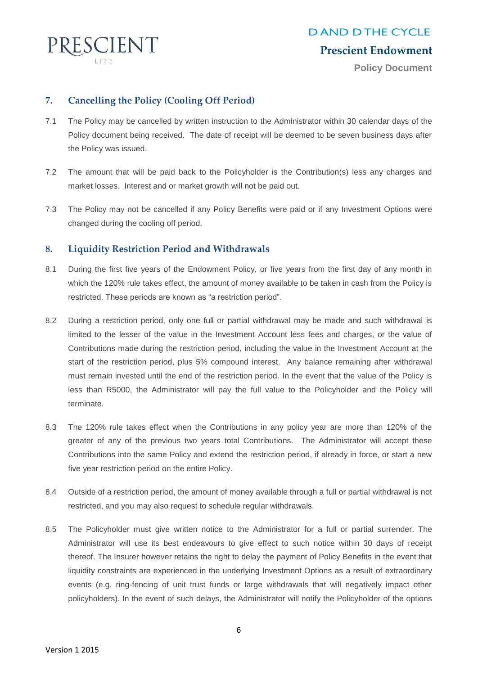

**Policy Document**

#### **7. Cancelling the Policy (Cooling Off Period)**

- 7.1 The Policy may be cancelled by written instruction to the Administrator within 30 calendar days of the Policy document being received. The date of receipt will be deemed to be seven business days after the Policy was issued.
- 7.2 The amount that will be paid back to the Policyholder is the Contribution(s) less any charges and market losses. Interest and or market growth will not be paid out.
- 7.3 The Policy may not be cancelled if any Policy Benefits were paid or if any Investment Options were changed during the cooling off period.

#### **8. Liquidity Restriction Period and Withdrawals**

- 8.1 During the first five years of the Endowment Policy, or five years from the first day of any month in which the 120% rule takes effect, the amount of money available to be taken in cash from the Policy is restricted. These periods are known as "a restriction period".
- 8.2 During a restriction period, only one full or partial withdrawal may be made and such withdrawal is limited to the lesser of the value in the Investment Account less fees and charges, or the value of Contributions made during the restriction period, including the value in the Investment Account at the start of the restriction period, plus 5% compound interest. Any balance remaining after withdrawal must remain invested until the end of the restriction period. In the event that the value of the Policy is less than R5000, the Administrator will pay the full value to the Policyholder and the Policy will terminate.
- 8.3 The 120% rule takes effect when the Contributions in any policy year are more than 120% of the greater of any of the previous two years total Contributions. The Administrator will accept these Contributions into the same Policy and extend the restriction period, if already in force, or start a new five year restriction period on the entire Policy.
- 8.4 Outside of a restriction period, the amount of money available through a full or partial withdrawal is not restricted, and you may also request to schedule regular withdrawals.
- 8.5 The Policyholder must give written notice to the Administrator for a full or partial surrender. The Administrator will use its best endeavours to give effect to such notice within 30 days of receipt thereof. The Insurer however retains the right to delay the payment of Policy Benefits in the event that liquidity constraints are experienced in the underlying Investment Options as a result of extraordinary events (e.g. ring-fencing of unit trust funds or large withdrawals that will negatively impact other policyholders). In the event of such delays, the Administrator will notify the Policyholder of the options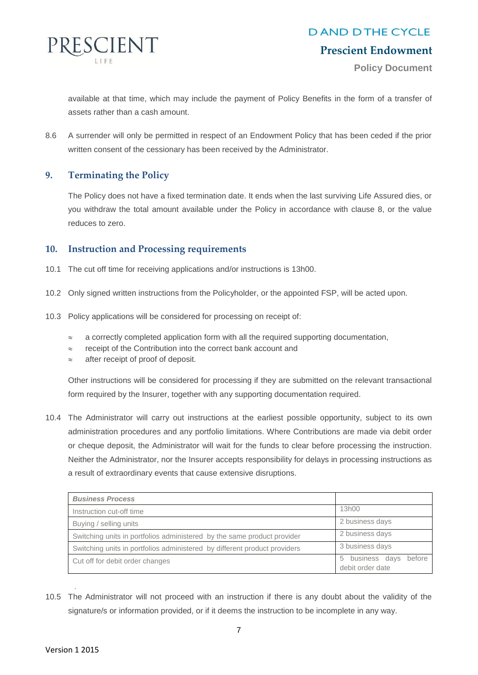

#### **Prescient Endowment**

**Policy Document**

available at that time, which may include the payment of Policy Benefits in the form of a transfer of assets rather than a cash amount.

8.6 A surrender will only be permitted in respect of an Endowment Policy that has been ceded if the prior written consent of the cessionary has been received by the Administrator.

#### **9. Terminating the Policy**

The Policy does not have a fixed termination date. It ends when the last surviving Life Assured dies, or you withdraw the total amount available under the Policy in accordance with clause 8, or the value reduces to zero.

#### **10. Instruction and Processing requirements**

- 10.1 The cut off time for receiving applications and/or instructions is 13h00.
- 10.2 Only signed written instructions from the Policyholder, or the appointed FSP, will be acted upon.
- 10.3 Policy applications will be considered for processing on receipt of:
	- $\approx$  a correctly completed application form with all the required supporting documentation,
	- $\approx$  receipt of the Contribution into the correct bank account and
	- after receipt of proof of deposit.

Other instructions will be considered for processing if they are submitted on the relevant transactional form required by the Insurer, together with any supporting documentation required.

10.4 The Administrator will carry out instructions at the earliest possible opportunity, subject to its own administration procedures and any portfolio limitations. Where Contributions are made via debit order or cheque deposit, the Administrator will wait for the funds to clear before processing the instruction. Neither the Administrator, nor the Insurer accepts responsibility for delays in processing instructions as a result of extraordinary events that cause extensive disruptions.

| <b>Business Process</b>                                                   |                                                  |
|---------------------------------------------------------------------------|--------------------------------------------------|
| Instruction cut-off time                                                  | 13h00                                            |
| Buying / selling units                                                    | 2 business days                                  |
| Switching units in portfolios administered by the same product provider   | 2 business days                                  |
| Switching units in portfolios administered by different product providers | 3 business days                                  |
| Cut off for debit order changes                                           | business days<br>before<br>5<br>debit order date |

10.5 The Administrator will not proceed with an instruction if there is any doubt about the validity of the signature/s or information provided, or if it deems the instruction to be incomplete in any way.

.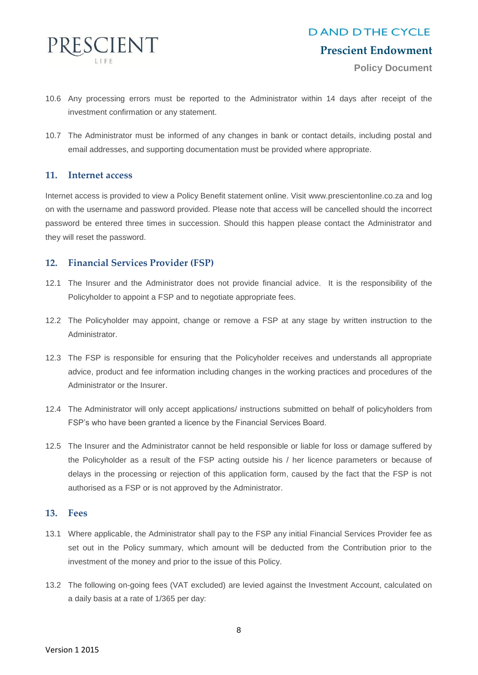

#### **Prescient Endowment**

**Policy Document**

- 10.6 Any processing errors must be reported to the Administrator within 14 days after receipt of the investment confirmation or any statement.
- 10.7 The Administrator must be informed of any changes in bank or contact details, including postal and email addresses, and supporting documentation must be provided where appropriate.

#### **11. Internet access**

Internet access is provided to view a Policy Benefit statement online. Visit [www.prescientonline.co.za](http://www.prescientonline.co.za/) and log on with the username and password provided. Please note that access will be cancelled should the incorrect password be entered three times in succession. Should this happen please contact the Administrator and they will reset the password.

#### **12. Financial Services Provider (FSP)**

- 12.1 The Insurer and the Administrator does not provide financial advice. It is the responsibility of the Policyholder to appoint a FSP and to negotiate appropriate fees.
- 12.2 The Policyholder may appoint, change or remove a FSP at any stage by written instruction to the Administrator.
- 12.3 The FSP is responsible for ensuring that the Policyholder receives and understands all appropriate advice, product and fee information including changes in the working practices and procedures of the Administrator or the Insurer.
- 12.4 The Administrator will only accept applications/ instructions submitted on behalf of policyholders from FSP's who have been granted a licence by the Financial Services Board.
- 12.5 The Insurer and the Administrator cannot be held responsible or liable for loss or damage suffered by the Policyholder as a result of the FSP acting outside his / her licence parameters or because of delays in the processing or rejection of this application form, caused by the fact that the FSP is not authorised as a FSP or is not approved by the Administrator.

#### **13. Fees**

- 13.1 Where applicable, the Administrator shall pay to the FSP any initial Financial Services Provider fee as set out in the Policy summary, which amount will be deducted from the Contribution prior to the investment of the money and prior to the issue of this Policy.
- 13.2 The following on-going fees (VAT excluded) are levied against the Investment Account, calculated on a daily basis at a rate of 1/365 per day: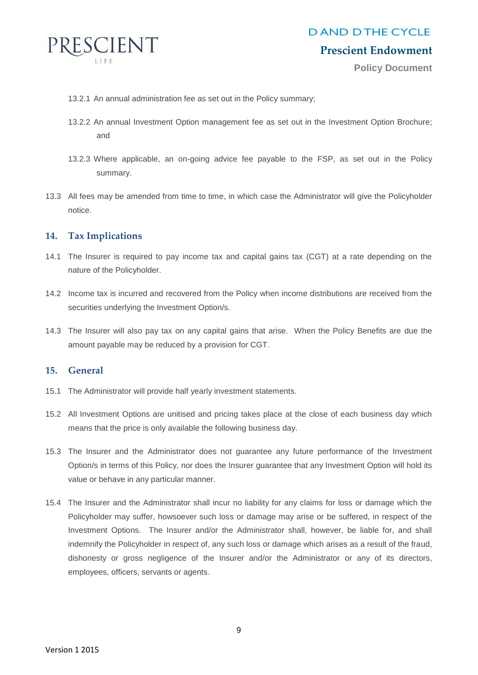

#### **Prescient Endowment**

**Policy Document**

- 13.2.1 An annual administration fee as set out in the Policy summary;
- 13.2.2 An annual Investment Option management fee as set out in the Investment Option Brochure; and
- 13.2.3 Where applicable, an on-going advice fee payable to the FSP, as set out in the Policy summary.
- 13.3 All fees may be amended from time to time, in which case the Administrator will give the Policyholder notice.

#### **14. Tax Implications**

- 14.1 The Insurer is required to pay income tax and capital gains tax (CGT) at a rate depending on the nature of the Policyholder.
- 14.2 Income tax is incurred and recovered from the Policy when income distributions are received from the securities underlying the Investment Option/s.
- 14.3 The Insurer will also pay tax on any capital gains that arise. When the Policy Benefits are due the amount payable may be reduced by a provision for CGT.

#### **15. General**

- 15.1 The Administrator will provide half yearly investment statements.
- 15.2 All Investment Options are unitised and pricing takes place at the close of each business day which means that the price is only available the following business day.
- 15.3 The Insurer and the Administrator does not guarantee any future performance of the Investment Option/s in terms of this Policy, nor does the Insurer guarantee that any Investment Option will hold its value or behave in any particular manner.
- 15.4 The Insurer and the Administrator shall incur no liability for any claims for loss or damage which the Policyholder may suffer, howsoever such loss or damage may arise or be suffered, in respect of the Investment Options. The Insurer and/or the Administrator shall, however, be liable for, and shall indemnify the Policyholder in respect of, any such loss or damage which arises as a result of the fraud, dishonesty or gross negligence of the Insurer and/or the Administrator or any of its directors, employees, officers, servants or agents.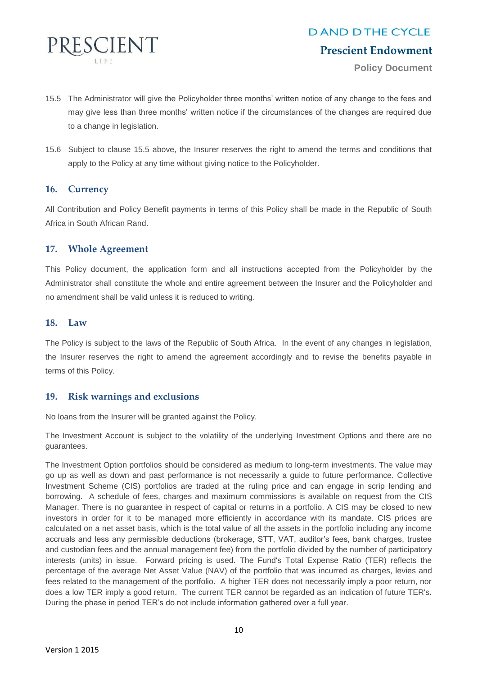

**Policy Document**

- 15.5 The Administrator will give the Policyholder three months' written notice of any change to the fees and may give less than three months' written notice if the circumstances of the changes are required due to a change in legislation.
- 15.6 Subject to clause 15.5 above, the Insurer reserves the right to amend the terms and conditions that apply to the Policy at any time without giving notice to the Policyholder.

#### **16. Currency**

All Contribution and Policy Benefit payments in terms of this Policy shall be made in the Republic of South Africa in South African Rand.

#### **17. Whole Agreement**

This Policy document, the application form and all instructions accepted from the Policyholder by the Administrator shall constitute the whole and entire agreement between the Insurer and the Policyholder and no amendment shall be valid unless it is reduced to writing.

#### **18. Law**

The Policy is subject to the laws of the Republic of South Africa. In the event of any changes in legislation, the Insurer reserves the right to amend the agreement accordingly and to revise the benefits payable in terms of this Policy.

#### **19. Risk warnings and exclusions**

No loans from the Insurer will be granted against the Policy.

The Investment Account is subject to the volatility of the underlying Investment Options and there are no guarantees.

The Investment Option portfolios should be considered as medium to long-term investments. The value may go up as well as down and past performance is not necessarily a guide to future performance. Collective Investment Scheme (CIS) portfolios are traded at the ruling price and can engage in scrip lending and borrowing. A schedule of fees, charges and maximum commissions is available on request from the CIS Manager. There is no guarantee in respect of capital or returns in a portfolio. A CIS may be closed to new investors in order for it to be managed more efficiently in accordance with its mandate. CIS prices are calculated on a net asset basis, which is the total value of all the assets in the portfolio including any income accruals and less any permissible deductions (brokerage, STT, VAT, auditor's fees, bank charges, trustee and custodian fees and the annual management fee) from the portfolio divided by the number of participatory interests (units) in issue. Forward pricing is used. The Fund's Total Expense Ratio (TER) reflects the percentage of the average Net Asset Value (NAV) of the portfolio that was incurred as charges, levies and fees related to the management of the portfolio. A higher TER does not necessarily imply a poor return, nor does a low TER imply a good return. The current TER cannot be regarded as an indication of future TER's. During the phase in period TER's do not include information gathered over a full year.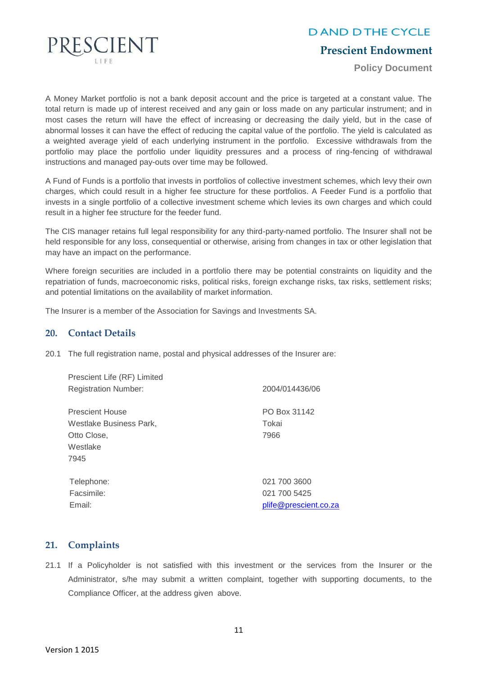

#### **Prescient Endowment**

**Policy Document**

A Money Market portfolio is not a bank deposit account and the price is targeted at a constant value. The total return is made up of interest received and any gain or loss made on any particular instrument; and in most cases the return will have the effect of increasing or decreasing the daily yield, but in the case of abnormal losses it can have the effect of reducing the capital value of the portfolio. The yield is calculated as a weighted average yield of each underlying instrument in the portfolio. Excessive withdrawals from the portfolio may place the portfolio under liquidity pressures and a process of ring-fencing of withdrawal instructions and managed pay-outs over time may be followed.

A Fund of Funds is a portfolio that invests in portfolios of collective investment schemes, which levy their own charges, which could result in a higher fee structure for these portfolios. A Feeder Fund is a portfolio that invests in a single portfolio of a collective investment scheme which levies its own charges and which could result in a higher fee structure for the feeder fund.

The CIS manager retains full legal responsibility for any third-party-named portfolio. The Insurer shall not be held responsible for any loss, consequential or otherwise, arising from changes in tax or other legislation that may have an impact on the performance.

Where foreign securities are included in a portfolio there may be potential constraints on liquidity and the repatriation of funds, macroeconomic risks, political risks, foreign exchange risks, tax risks, settlement risks; and potential limitations on the availability of market information.

The Insurer is a member of the Association for Savings and Investments SA.

#### **20. Contact Details**

20.1 The full registration name, postal and physical addresses of the Insurer are:

| Prescient Life (RF) Limited |                       |
|-----------------------------|-----------------------|
| <b>Registration Number:</b> | 2004/014436/06        |
| <b>Prescient House</b>      | PO Box 31142          |
| Westlake Business Park,     | Tokai                 |
| Otto Close,                 | 7966                  |
| Westlake                    |                       |
| 7945                        |                       |
| Telephone:                  | 021 700 3600          |
| Facsimile:                  | 021 700 5425          |
| Email:                      | plife@prescient.co.za |

#### **21. Complaints**

21.1 If a Policyholder is not satisfied with this investment or the services from the Insurer or the Administrator, s/he may submit a written complaint, together with supporting documents, to the Compliance Officer, at the address given above.